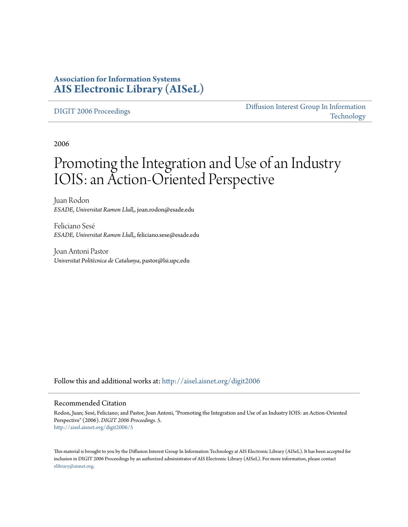### **Association for Information Systems [AIS Electronic Library \(AISeL\)](http://aisel.aisnet.org?utm_source=aisel.aisnet.org%2Fdigit2006%2F5&utm_medium=PDF&utm_campaign=PDFCoverPages)**

#### [DIGIT 2006 Proceedings](http://aisel.aisnet.org/digit2006?utm_source=aisel.aisnet.org%2Fdigit2006%2F5&utm_medium=PDF&utm_campaign=PDFCoverPages)

[Diffusion Interest Group In Information](http://aisel.aisnet.org/digit?utm_source=aisel.aisnet.org%2Fdigit2006%2F5&utm_medium=PDF&utm_campaign=PDFCoverPages) [Technology](http://aisel.aisnet.org/digit?utm_source=aisel.aisnet.org%2Fdigit2006%2F5&utm_medium=PDF&utm_campaign=PDFCoverPages)

2006

# Promoting the Integration and Use of an Industry IOIS: an Action-Oriented Perspective

Juan Rodon *ESADE, Universitat Ramon Llull,*, joan.rodon@esade.edu

Feliciano Sesé *ESADE, Universitat Ramon Llull,*, feliciano.sese@esade.edu

Joan Antoni Pastor *Universitat Politècnica de Catalunya*, pastor@lsi.upc.edu

Follow this and additional works at: [http://aisel.aisnet.org/digit2006](http://aisel.aisnet.org/digit2006?utm_source=aisel.aisnet.org%2Fdigit2006%2F5&utm_medium=PDF&utm_campaign=PDFCoverPages)

#### Recommended Citation

Rodon, Juan; Sesé, Feliciano; and Pastor, Joan Antoni, "Promoting the Integration and Use of an Industry IOIS: an Action-Oriented Perspective" (2006). *DIGIT 2006 Proceedings*. 5. [http://aisel.aisnet.org/digit2006/5](http://aisel.aisnet.org/digit2006/5?utm_source=aisel.aisnet.org%2Fdigit2006%2F5&utm_medium=PDF&utm_campaign=PDFCoverPages)

This material is brought to you by the Diffusion Interest Group In Information Technology at AIS Electronic Library (AISeL). It has been accepted for inclusion in DIGIT 2006 Proceedings by an authorized administrator of AIS Electronic Library (AISeL). For more information, please contact [elibrary@aisnet.org.](mailto:elibrary@aisnet.org%3E)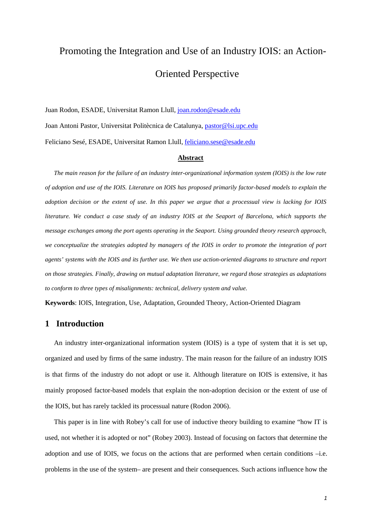# Promoting the Integration and Use of an Industry IOIS: an Action-Oriented Perspective

Juan Rodon, ESADE, Universitat Ramon Llull, joan.rodon@esade.edu Joan Antoni Pastor, Universitat Politècnica de Catalunya, pastor@lsi.upc.edu Feliciano Sesé, ESADE, Universitat Ramon Llull, feliciano.sese@esade.edu

#### **Abstract**

*The main reason for the failure of an industry inter-organizational information system (IOIS) is the low rate of adoption and use of the IOIS. Literature on IOIS has proposed primarily factor-based models to explain the adoption decision or the extent of use. In this paper we argue that a processual view is lacking for IOIS literature. We conduct a case study of an industry IOIS at the Seaport of Barcelona, which supports the message exchanges among the port agents operating in the Seaport. Using grounded theory research approach, we conceptualize the strategies adopted by managers of the IOIS in order to promote the integration of port agents' systems with the IOIS and its further use. We then use action-oriented diagrams to structure and report on those strategies. Finally, drawing on mutual adaptation literature, we regard those strategies as adaptations to conform to three types of misalignments: technical, delivery system and value.* 

**Keywords**: IOIS, Integration, Use, Adaptation, Grounded Theory, Action-Oriented Diagram

#### **1 Introduction**

An industry inter-organizational information system (IOIS) is a type of system that it is set up, organized and used by firms of the same industry. The main reason for the failure of an industry IOIS is that firms of the industry do not adopt or use it. Although literature on IOIS is extensive, it has mainly proposed factor-based models that explain the non-adoption decision or the extent of use of the IOIS, but has rarely tackled its processual nature (Rodon 2006).

This paper is in line with Robey's call for use of inductive theory building to examine "how IT is used, not whether it is adopted or not" (Robey 2003). Instead of focusing on factors that determine the adoption and use of IOIS, we focus on the actions that are performed when certain conditions –i.e. problems in the use of the system– are present and their consequences. Such actions influence how the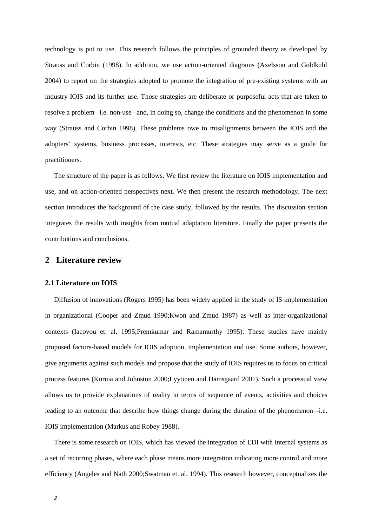technology is put to use. This research follows the principles of grounded theory as developed by Strauss and Corbin (1998). In addition, we use action-oriented diagrams (Axelsson and Goldkuhl 2004) to report on the strategies adopted to promote the integration of pre-existing systems with an industry IOIS and its further use. Those strategies are deliberate or purposeful acts that are taken to resolve a problem –i.e. non-use– and, in doing so, change the conditions and the phenomenon in some way (Strauss and Corbin 1998). These problems owe to misalignments between the IOIS and the adopters' systems, business processes, interests, etc. These strategies may serve as a guide for practitioners.

The structure of the paper is as follows. We first review the literature on IOIS implementation and use, and on action-oriented perspectives next. We then present the research methodology. The next section introduces the background of the case study, followed by the results. The discussion section integrates the results with insights from mutual adaptation literature. Finally the paper presents the contributions and conclusions.

#### **2 Literature review**

#### **2.1 Literature on IOIS**

Diffusion of innovations (Rogers 1995) has been widely applied in the study of IS implementation in organizational (Cooper and Zmud 1990;Kwon and Zmud 1987) as well as inter-organizational contexts (Iacovou et. al. 1995;Premkumar and Ramamurthy 1995). These studies have mainly proposed factors-based models for IOIS adoption, implementation and use. Some authors, however, give arguments against such models and propose that the study of IOIS requires us to focus on critical process features (Kurnia and Johnston 2000;Lyytinen and Damsgaard 2001). Such a processual view allows us to provide explanations of reality in terms of sequence of events, activities and choices leading to an outcome that describe how things change during the duration of the phenomenon –i.e. IOIS implementation (Markus and Robey 1988).

There is some research on IOIS, which has viewed the integration of EDI with internal systems as a set of recurring phases, where each phase means more integration indicating more control and more efficiency (Angeles and Nath 2000;Swatman et. al. 1994). This research however, conceptualizes the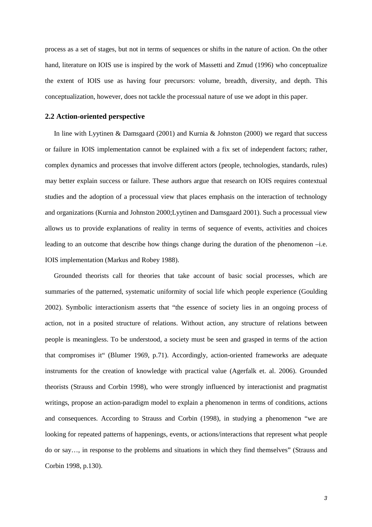process as a set of stages, but not in terms of sequences or shifts in the nature of action. On the other hand, literature on IOIS use is inspired by the work of Massetti and Zmud (1996) who conceptualize the extent of IOIS use as having four precursors: volume, breadth, diversity, and depth. This conceptualization, however, does not tackle the processual nature of use we adopt in this paper.

#### **2.2 Action-oriented perspective**

In line with Lyytinen & Damsgaard (2001) and Kurnia & Johnston (2000) we regard that success or failure in IOIS implementation cannot be explained with a fix set of independent factors; rather, complex dynamics and processes that involve different actors (people, technologies, standards, rules) may better explain success or failure. These authors argue that research on IOIS requires contextual studies and the adoption of a processual view that places emphasis on the interaction of technology and organizations (Kurnia and Johnston 2000;Lyytinen and Damsgaard 2001). Such a processual view allows us to provide explanations of reality in terms of sequence of events, activities and choices leading to an outcome that describe how things change during the duration of the phenomenon –i.e. IOIS implementation (Markus and Robey 1988).

Grounded theorists call for theories that take account of basic social processes, which are summaries of the patterned, systematic uniformity of social life which people experience (Goulding 2002). Symbolic interactionism asserts that "the essence of society lies in an ongoing process of action, not in a posited structure of relations. Without action, any structure of relations between people is meaningless. To be understood, a society must be seen and grasped in terms of the action that compromises it" (Blumer 1969, p.71). Accordingly, action-oriented frameworks are adequate instruments for the creation of knowledge with practical value (Agerfalk et. al. 2006). Grounded theorists (Strauss and Corbin 1998), who were strongly influenced by interactionist and pragmatist writings, propose an action-paradigm model to explain a phenomenon in terms of conditions, actions and consequences. According to Strauss and Corbin (1998), in studying a phenomenon "we are looking for repeated patterns of happenings, events, or actions/interactions that represent what people do or say…, in response to the problems and situations in which they find themselves" (Strauss and Corbin 1998, p.130).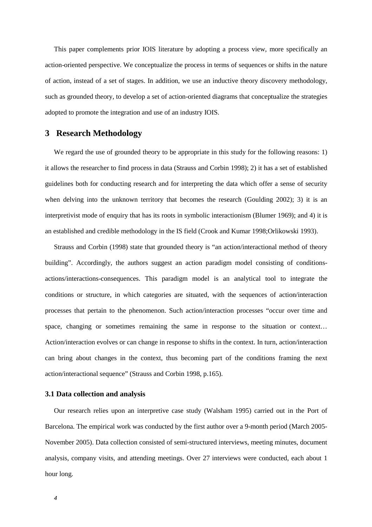This paper complements prior IOIS literature by adopting a process view, more specifically an action-oriented perspective. We conceptualize the process in terms of sequences or shifts in the nature of action, instead of a set of stages. In addition, we use an inductive theory discovery methodology, such as grounded theory, to develop a set of action-oriented diagrams that conceptualize the strategies adopted to promote the integration and use of an industry IOIS.

#### **3 Research Methodology**

We regard the use of grounded theory to be appropriate in this study for the following reasons: 1) it allows the researcher to find process in data (Strauss and Corbin 1998); 2) it has a set of established guidelines both for conducting research and for interpreting the data which offer a sense of security when delving into the unknown territory that becomes the research (Goulding 2002); 3) it is an interpretivist mode of enquiry that has its roots in symbolic interactionism (Blumer 1969); and 4) it is an established and credible methodology in the IS field (Crook and Kumar 1998;Orlikowski 1993).

Strauss and Corbin (1998) state that grounded theory is "an action/interactional method of theory building". Accordingly, the authors suggest an action paradigm model consisting of conditionsactions/interactions-consequences. This paradigm model is an analytical tool to integrate the conditions or structure, in which categories are situated, with the sequences of action/interaction processes that pertain to the phenomenon. Such action/interaction processes "occur over time and space, changing or sometimes remaining the same in response to the situation or context… Action/interaction evolves or can change in response to shifts in the context. In turn, action/interaction can bring about changes in the context, thus becoming part of the conditions framing the next action/interactional sequence" (Strauss and Corbin 1998, p.165).

#### **3.1 Data collection and analysis**

Our research relies upon an interpretive case study (Walsham 1995) carried out in the Port of Barcelona. The empirical work was conducted by the first author over a 9-month period (March 2005- November 2005). Data collection consisted of semi-structured interviews, meeting minutes, document analysis, company visits, and attending meetings. Over 27 interviews were conducted, each about 1 hour long.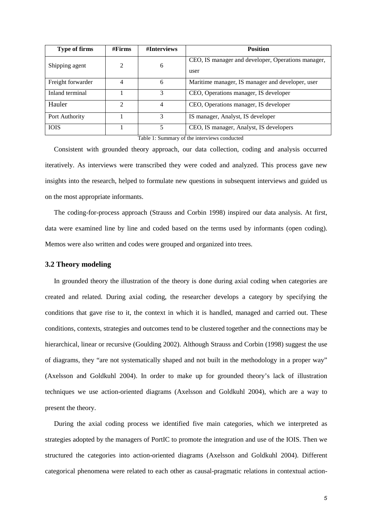| <b>Type of firms</b> | #Firms         | #Interviews | <b>Position</b>                                    |
|----------------------|----------------|-------------|----------------------------------------------------|
| Shipping agent       | 2              | 6           | CEO, IS manager and developer, Operations manager, |
|                      |                |             | user                                               |
| Freight forwarder    | 4              | 6           | Maritime manager, IS manager and developer, user   |
| Inland terminal      |                | 3           | CEO, Operations manager, IS developer              |
| Hauler               | $\mathfrak{D}$ | 4           | CEO, Operations manager, IS developer              |
| Port Authority       |                | 3           | IS manager, Analyst, IS developer                  |
| <b>IOIS</b>          |                | 5           | CEO, IS manager, Analyst, IS developers            |

Table 1: Summary of the interviews conducted

Consistent with grounded theory approach, our data collection, coding and analysis occurred iteratively. As interviews were transcribed they were coded and analyzed. This process gave new insights into the research, helped to formulate new questions in subsequent interviews and guided us on the most appropriate informants.

The coding-for-process approach (Strauss and Corbin 1998) inspired our data analysis. At first, data were examined line by line and coded based on the terms used by informants (open coding). Memos were also written and codes were grouped and organized into trees.

#### **3.2 Theory modeling**

In grounded theory the illustration of the theory is done during axial coding when categories are created and related. During axial coding, the researcher develops a category by specifying the conditions that gave rise to it, the context in which it is handled, managed and carried out. These conditions, contexts, strategies and outcomes tend to be clustered together and the connections may be hierarchical, linear or recursive (Goulding 2002). Although Strauss and Corbin (1998) suggest the use of diagrams, they "are not systematically shaped and not built in the methodology in a proper way" (Axelsson and Goldkuhl 2004). In order to make up for grounded theory's lack of illustration techniques we use action-oriented diagrams (Axelsson and Goldkuhl 2004), which are a way to present the theory.

During the axial coding process we identified five main categories, which we interpreted as strategies adopted by the managers of PortIC to promote the integration and use of the IOIS. Then we structured the categories into action-oriented diagrams (Axelsson and Goldkuhl 2004). Different categorical phenomena were related to each other as causal-pragmatic relations in contextual action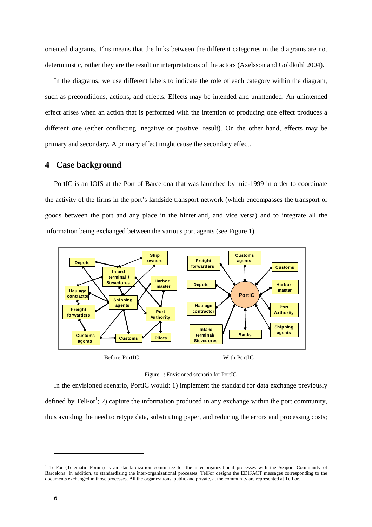oriented diagrams. This means that the links between the different categories in the diagrams are not deterministic, rather they are the result or interpretations of the actors (Axelsson and Goldkuhl 2004).

In the diagrams, we use different labels to indicate the role of each category within the diagram, such as preconditions, actions, and effects. Effects may be intended and unintended. An unintended effect arises when an action that is performed with the intention of producing one effect produces a different one (either conflicting, negative or positive, result). On the other hand, effects may be primary and secondary. A primary effect might cause the secondary effect.

#### **4 Case background**

PortIC is an IOIS at the Port of Barcelona that was launched by mid-1999 in order to coordinate the activity of the firms in the port's landside transport network (which encompasses the transport of goods between the port and any place in the hinterland, and vice versa) and to integrate all the information being exchanged between the various port agents (see Figure 1).





In the envisioned scenario, PortIC would: 1) implement the standard for data exchange previously defined by TelFor<sup>1</sup>; 2) capture the information produced in any exchange within the port community, thus avoiding the need to retype data, substituting paper, and reducing the errors and processing costs;

l

<sup>&</sup>lt;sup>1</sup> TelFor (Telemàtic Fòrum) is an standardization committee for the inter-organizational processes with the Seaport Community of Barcelona. In addition, to standardizing the inter-organizational processes, TelFor designs the EDIFACT messages corresponding to the documents exchanged in those processes. All the organizations, public and private, at the community are represented at TelFor.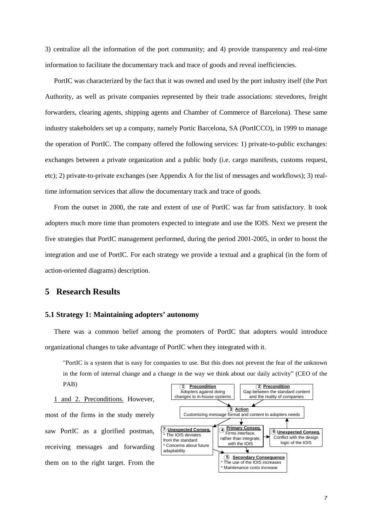3) centralize all the information of the port community; and 4) provide transparency and real-time information to facilitate the documentary track and trace of goods and reveal inefficiencies.

PortIC was characterized by the fact that it was owned and used by the port industry itself (the Port Authority, as well as private companies represented by their trade associations: stevedores, freight forwarders, clearing agents, shipping agents and Chamber of Commerce of Barcelona). These same industry stakeholders set up a company, namely Portic Barcelona, SA (PortICCO), in 1999 to manage the operation of PortIC. The company offered the following services: 1) private-to-public exchanges: exchanges between a private organization and a public body (i.e. cargo manifests, customs request, etc); 2) private-to-private exchanges (see Appendix A for the list of messages and workflows); 3) realtime information services that allow the documentary track and trace of goods.

From the outset in 2000, the rate and extent of use of PortIC was far from satisfactory. It took adopters much more time than promoters expected to integrate and use the IOIS. Next we present the five strategies that PortIC management performed, during the period 2001-2005, in order to boost the integration and use of PortIC. For each strategy we provide a textual and a graphical (in the form of action-oriented diagrams) description.

#### **5 Research Results**

#### **5.1 Strategy 1: Maintaining adopters' autonomy**

There was a common belief among the promoters of PortIC that adopters would introduce organizational changes to take advantage of PortIC when they integrated with it.

"PortIC is a system that is easy for companies to use. But this does not prevent the fear of the unknown in the form of internal change and a change in the way we think about our daily activity" (CEO of the PAB)

1 and 2. Preconditions. However, most of the firms in the study merely saw PortIC as a glorified postman, receiving messages and forwarding them on to the right target. From the

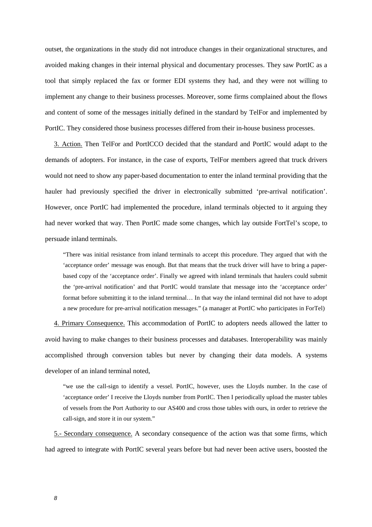outset, the organizations in the study did not introduce changes in their organizational structures, and avoided making changes in their internal physical and documentary processes. They saw PortIC as a tool that simply replaced the fax or former EDI systems they had, and they were not willing to implement any change to their business processes. Moreover, some firms complained about the flows and content of some of the messages initially defined in the standard by TelFor and implemented by PortIC. They considered those business processes differed from their in-house business processes.

3. Action. Then TelFor and PortICCO decided that the standard and PortIC would adapt to the demands of adopters. For instance, in the case of exports, TelFor members agreed that truck drivers would not need to show any paper-based documentation to enter the inland terminal providing that the hauler had previously specified the driver in electronically submitted 'pre-arrival notification'. However, once PortIC had implemented the procedure, inland terminals objected to it arguing they had never worked that way. Then PortIC made some changes, which lay outside FortTel's scope, to persuade inland terminals.

"There was initial resistance from inland terminals to accept this procedure. They argued that with the 'acceptance order' message was enough. But that means that the truck driver will have to bring a paperbased copy of the 'acceptance order'. Finally we agreed with inland terminals that haulers could submit the 'pre-arrival notification' and that PortIC would translate that message into the 'acceptance order' format before submitting it to the inland terminal… In that way the inland terminal did not have to adopt a new procedure for pre-arrival notification messages." (a manager at PortIC who participates in ForTel)

4. Primary Consequence. This accommodation of PortIC to adopters needs allowed the latter to avoid having to make changes to their business processes and databases. Interoperability was mainly accomplished through conversion tables but never by changing their data models. A systems developer of an inland terminal noted,

"we use the call-sign to identify a vessel. PortIC, however, uses the Lloyds number. In the case of 'acceptance order' I receive the Lloyds number from PortIC. Then I periodically upload the master tables of vessels from the Port Authority to our AS400 and cross those tables with ours, in order to retrieve the call-sign, and store it in our system."

5.- Secondary consequence. A secondary consequence of the action was that some firms, which had agreed to integrate with PortIC several years before but had never been active users, boosted the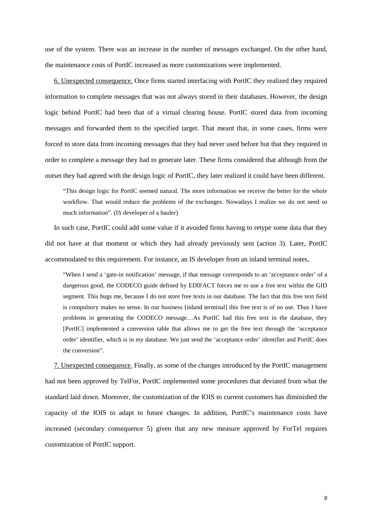use of the system. There was an increase in the number of messages exchanged. On the other hand, the maintenance costs of PortIC increased as more customizations were implemented.

6. Unexpected consequence. Once firms started interfacing with PortIC they realized they required information to complete messages that was not always stored in their databases. However, the design logic behind PortIC had been that of a virtual clearing house. PortIC stored data from incoming messages and forwarded them to the specified target. That meant that, in some cases, firms were forced to store data from incoming messages that they had never used before but that they required in order to complete a message they had to generate later. These firms considered that although from the outset they had agreed with the design logic of PortIC, they later realized it could have been different.

"This design logic for PortIC seemed natural. The more information we receive the better for the whole workflow. That would reduce the problems of the exchanges. Nowadays I realize we do not need so much information". (IS developer of a hauler)

In such case, PortIC could add some value if it avoided firms having to retype some data that they did not have at that moment or which they had already previously sent (action 3). Later, PortIC accommodated to this requirement. For instance, an IS developer from an inland terminal notes,

"When I send a 'gate-in notification' message, if that message corresponds to an 'acceptance order' of a dangerous good, the CODECO guide defined by EDIFACT forces me to use a free text within the GID segment. This bugs me, because I do not store free texts in our database. The fact that this free text field is compulsory makes no sense. In our business [inland terminal] this free text is of no use. Thus I have problems in generating the CODECO message…As PortIC had this free text in the database, they [PortIC] implemented a conversion table that allows me to get the free text through the 'acceptance order' identifier, which is in my database. We just send the 'acceptance order' identifier and PortIC does the conversion".

7. Unexpected consequence. Finally, as some of the changes introduced by the PortIC management had not been approved by TelFor, PortIC implemented some procedures that deviated from what the standard laid down. Moreover, the customization of the IOIS to current customers has diminished the capacity of the IOIS to adapt to future changes. In addition, PortIC's maintenance costs have increased (secondary consequence 5) given that any new measure approved by ForTel requires customization of PortIC support.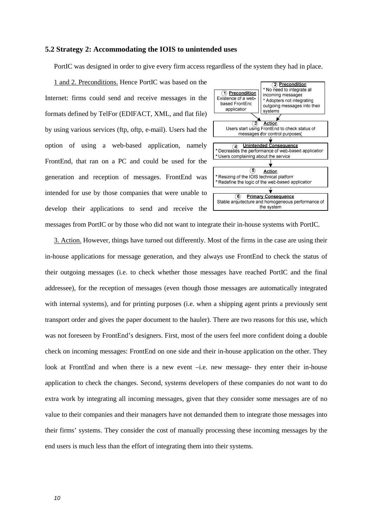#### **5.2 Strategy 2: Accommodating the IOIS to unintended uses**

PortIC was designed in order to give every firm access regardless of the system they had in place.

1 and 2. Preconditions. Hence PortIC was based on the Internet: firms could send and receive messages in the formats defined by TelFor (EDIFACT, XML, and flat file) by using various services (ftp, oftp, e-mail). Users had the option of using a web-based application, namely FrontEnd, that ran on a PC and could be used for the generation and reception of messages. FrontEnd was intended for use by those companies that were unable to develop their applications to send and receive the



messages from PortIC or by those who did not want to integrate their in-house systems with PortIC.

3. Action. However, things have turned out differently. Most of the firms in the case are using their in-house applications for message generation, and they always use FrontEnd to check the status of their outgoing messages (i.e. to check whether those messages have reached PortIC and the final addressee), for the reception of messages (even though those messages are automatically integrated with internal systems), and for printing purposes (i.e. when a shipping agent prints a previously sent transport order and gives the paper document to the hauler). There are two reasons for this use, which was not foreseen by FrontEnd's designers. First, most of the users feel more confident doing a double check on incoming messages: FrontEnd on one side and their in-house application on the other. They look at FrontEnd and when there is a new event –i.e. new message- they enter their in-house application to check the changes. Second, systems developers of these companies do not want to do extra work by integrating all incoming messages, given that they consider some messages are of no value to their companies and their managers have not demanded them to integrate those messages into their firms' systems. They consider the cost of manually processing these incoming messages by the end users is much less than the effort of integrating them into their systems.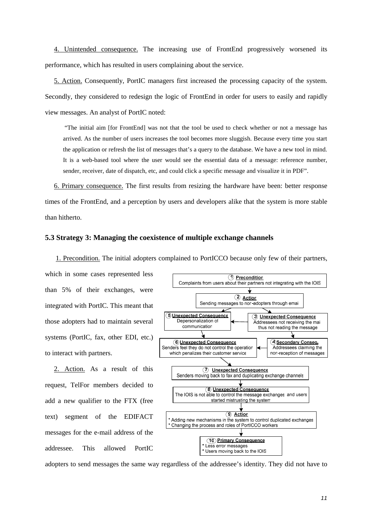4. Unintended consequence. The increasing use of FrontEnd progressively worsened its performance, which has resulted in users complaining about the service.

5. Action. Consequently, PortIC managers first increased the processing capacity of the system. Secondly, they considered to redesign the logic of FrontEnd in order for users to easily and rapidly view messages. An analyst of PortIC noted:

 "The initial aim [for FrontEnd] was not that the tool be used to check whether or not a message has arrived. As the number of users increases the tool becomes more sluggish. Because every time you start the application or refresh the list of messages that's a query to the database. We have a new tool in mind. It is a web-based tool where the user would see the essential data of a message: reference number, sender, receiver, date of dispatch, etc, and could click a specific message and visualize it in PDF".

6. Primary consequence. The first results from resizing the hardware have been: better response times of the FrontEnd, and a perception by users and developers alike that the system is more stable than hitherto.

#### **5.3 Strategy 3: Managing the coexistence of multiple exchange channels**

1. Precondition. The initial adopters complained to PortICCO because only few of their partners,

which in some cases represented less than 5% of their exchanges, were integrated with PortIC. This meant that those adopters had to maintain several systems (PortIC, fax, other EDI, etc.) to interact with partners.

2. Action. As a result of this request, TelFor members decided to add a new qualifier to the FTX (free text) segment of the EDIFACT messages for the e-mail address of the addressee. This allowed PortIC



adopters to send messages the same way regardless of the addressee's identity. They did not have to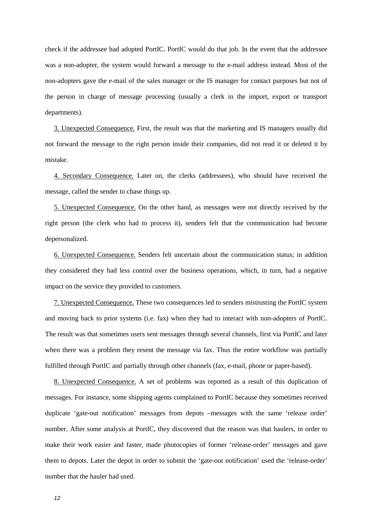check if the addressee had adopted PortIC. PortIC would do that job. In the event that the addressee was a non-adopter, the system would forward a message to the e-mail address instead. Most of the non-adopters gave the e-mail of the sales manager or the IS manager for contact purposes but not of the person in charge of message processing (usually a clerk in the import, export or transport departments).

3. Unexpected Consequence. First, the result was that the marketing and IS managers usually did not forward the message to the right person inside their companies, did not read it or deleted it by mistake.

4. Secondary Consequence. Later on, the clerks (addressees), who should have received the message, called the sender to chase things up.

5. Unexpected Consequence. On the other hand, as messages were not directly received by the right person (the clerk who had to process it), senders felt that the communication had become depersonalized.

6. Unexpected Consequence. Senders felt uncertain about the communication status; in addition they considered they had less control over the business operations, which, in turn, had a negative impact on the service they provided to customers.

7. Unexpected Consequence. These two consequences led to senders mistrusting the PortIC system and moving back to prior systems (i.e. fax) when they had to interact with non-adopters of PortIC. The result was that sometimes users sent messages through several channels, first via PortIC and later when there was a problem they resent the message via fax. Thus the entire workflow was partially fulfilled through PortIC and partially through other channels (fax, e-mail, phone or paper-based).

8. Unexpected Consequence. A set of problems was reported as a result of this duplication of messages. For instance, some shipping agents complained to PortIC because they sometimes received duplicate 'gate-out notification' messages from depots –messages with the same 'release order' number. After some analysis at PortIC, they discovered that the reason was that haulers, in order to make their work easier and faster, made photocopies of former 'release-order' messages and gave them to depots. Later the depot in order to submit the 'gate-out notification' used the 'release-order' number that the hauler had used.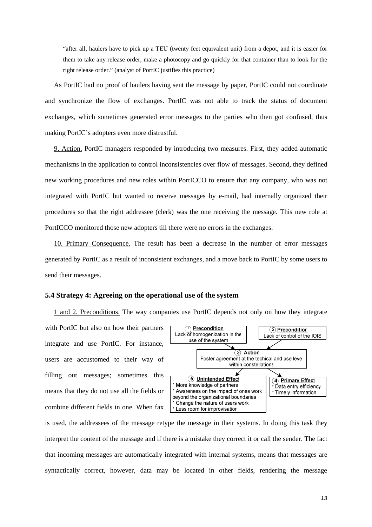"after all, haulers have to pick up a TEU (twenty feet equivalent unit) from a depot, and it is easier for them to take any release order, make a photocopy and go quickly for that container than to look for the right release order." (analyst of PortIC justifies this practice)

As PortIC had no proof of haulers having sent the message by paper, PortIC could not coordinate and synchronize the flow of exchanges. PortIC was not able to track the status of document exchanges, which sometimes generated error messages to the parties who then got confused, thus making PortIC's adopters even more distrustful.

9. Action. PortIC managers responded by introducing two measures. First, they added automatic mechanisms in the application to control inconsistencies over flow of messages. Second, they defined new working procedures and new roles within PortICCO to ensure that any company, who was not integrated with PortIC but wanted to receive messages by e-mail, had internally organized their procedures so that the right addressee (clerk) was the one receiving the message. This new role at PortICCO monitored those new adopters till there were no errors in the exchanges.

10. Primary Consequence. The result has been a decrease in the number of error messages generated by PortIC as a result of inconsistent exchanges, and a move back to PortIC by some users to send their messages.

#### **5.4 Strategy 4: Agreeing on the operational use of the system**

1 and 2. Preconditions. The way companies use PortIC depends not only on how they integrate with PortIC but also on how their partners integrate and use PortIC. For instance, users are accustomed to their way of filling out messages; sometimes this means that they do not use all the fields or combine different fields in one. When fax



is used, the addressees of the message retype the message in their systems. In doing this task they interpret the content of the message and if there is a mistake they correct it or call the sender. The fact that incoming messages are automatically integrated with internal systems, means that messages are syntactically correct, however, data may be located in other fields, rendering the message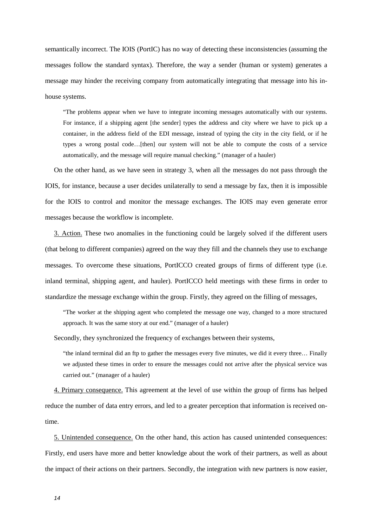semantically incorrect. The IOIS (PortIC) has no way of detecting these inconsistencies (assuming the messages follow the standard syntax). Therefore, the way a sender (human or system) generates a message may hinder the receiving company from automatically integrating that message into his inhouse systems.

"The problems appear when we have to integrate incoming messages automatically with our systems. For instance, if a shipping agent [the sender] types the address and city where we have to pick up a container, in the address field of the EDI message, instead of typing the city in the city field, or if he types a wrong postal code…[then] our system will not be able to compute the costs of a service automatically, and the message will require manual checking." (manager of a hauler)

On the other hand, as we have seen in strategy 3, when all the messages do not pass through the IOIS, for instance, because a user decides unilaterally to send a message by fax, then it is impossible for the IOIS to control and monitor the message exchanges. The IOIS may even generate error messages because the workflow is incomplete.

3. Action. These two anomalies in the functioning could be largely solved if the different users (that belong to different companies) agreed on the way they fill and the channels they use to exchange messages. To overcome these situations, PortICCO created groups of firms of different type (i.e. inland terminal, shipping agent, and hauler). PortICCO held meetings with these firms in order to standardize the message exchange within the group. Firstly, they agreed on the filling of messages,

"The worker at the shipping agent who completed the message one way, changed to a more structured approach. It was the same story at our end." (manager of a hauler)

Secondly, they synchronized the frequency of exchanges between their systems,

"the inland terminal did an ftp to gather the messages every five minutes, we did it every three… Finally we adjusted these times in order to ensure the messages could not arrive after the physical service was carried out." (manager of a hauler)

4. Primary consequence. This agreement at the level of use within the group of firms has helped reduce the number of data entry errors, and led to a greater perception that information is received ontime.

5. Unintended consequence. On the other hand, this action has caused unintended consequences: Firstly, end users have more and better knowledge about the work of their partners, as well as about the impact of their actions on their partners. Secondly, the integration with new partners is now easier,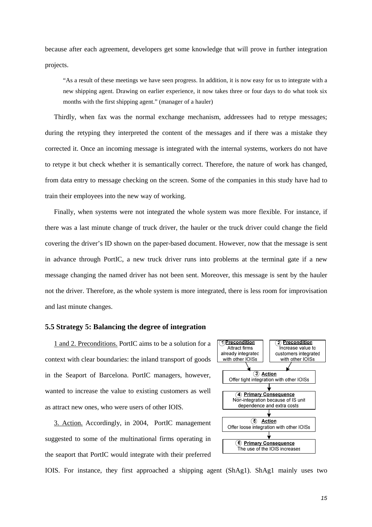because after each agreement, developers get some knowledge that will prove in further integration projects.

"As a result of these meetings we have seen progress. In addition, it is now easy for us to integrate with a new shipping agent. Drawing on earlier experience, it now takes three or four days to do what took six months with the first shipping agent." (manager of a hauler)

Thirdly, when fax was the normal exchange mechanism, addressees had to retype messages; during the retyping they interpreted the content of the messages and if there was a mistake they corrected it. Once an incoming message is integrated with the internal systems, workers do not have to retype it but check whether it is semantically correct. Therefore, the nature of work has changed, from data entry to message checking on the screen. Some of the companies in this study have had to train their employees into the new way of working.

Finally, when systems were not integrated the whole system was more flexible. For instance, if there was a last minute change of truck driver, the hauler or the truck driver could change the field covering the driver's ID shown on the paper-based document. However, now that the message is sent in advance through PortIC, a new truck driver runs into problems at the terminal gate if a new message changing the named driver has not been sent. Moreover, this message is sent by the hauler not the driver. Therefore, as the whole system is more integrated, there is less room for improvisation and last minute changes.

#### **5.5 Strategy 5: Balancing the degree of integration**

1 and 2. Preconditions. PortIC aims to be a solution for a context with clear boundaries: the inland transport of goods in the Seaport of Barcelona. PortIC managers, however, wanted to increase the value to existing customers as well as attract new ones, who were users of other IOIS.

3. Action. Accordingly, in 2004, PortIC management suggested to some of the multinational firms operating in the seaport that PortIC would integrate with their preferred



IOIS. For instance, they first approached a shipping agent (ShAg1). ShAg1 mainly uses two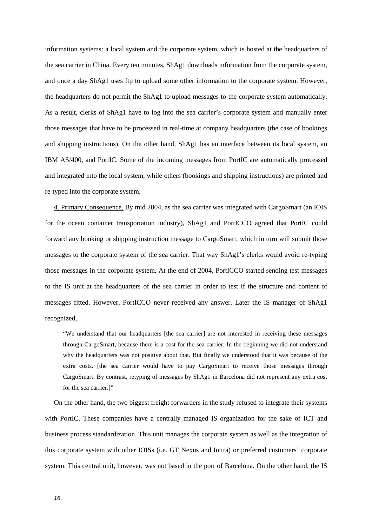information systems: a local system and the corporate system, which is hosted at the headquarters of the sea carrier in China. Every ten minutes, ShAg1 downloads information from the corporate system, and once a day ShAg1 uses ftp to upload some other information to the corporate system. However, the headquarters do not permit the ShAg1 to upload messages to the corporate system automatically. As a result, clerks of ShAg1 have to log into the sea carrier's corporate system and manually enter those messages that have to be processed in real-time at company headquarters (the case of bookings and shipping instructions). On the other hand, ShAg1 has an interface between its local system, an IBM AS/400, and PortIC. Some of the incoming messages from PortIC are automatically processed and integrated into the local system, while others (bookings and shipping instructions) are printed and re-typed into the corporate system.

4. Primary Consequence. By mid 2004, as the sea carrier was integrated with CargoSmart (an IOIS for the ocean container transportation industry), ShAg1 and PortICCO agreed that PortIC could forward any booking or shipping instruction message to CargoSmart, which in turn will submit those messages to the corporate system of the sea carrier. That way ShAg1's clerks would avoid re-typing those messages in the corporate system. At the end of 2004, PortICCO started sending test messages to the IS unit at the headquarters of the sea carrier in order to test if the structure and content of messages fitted. However, PortICCO never received any answer. Later the IS manager of ShAg1 recognized,

"We understand that our headquarters [the sea carrier] are not interested in receiving these messages through CargoSmart, because there is a cost for the sea carrier. In the beginning we did not understand why the headquarters was not positive about that. But finally we understood that it was because of the extra costs. [the sea carrier would have to pay CargoSmart to receive those messages through CargoSmart. By contrast, retyping of messages by ShAg1 in Barcelona did not represent any extra cost for the sea carrier.]"

On the other hand, the two biggest freight forwarders in the study refused to integrate their systems with PortIC. These companies have a centrally managed IS organization for the sake of ICT and business process standardization. This unit manages the corporate system as well as the integration of this corporate system with other IOISs (i.e. GT Nexus and Inttra) or preferred customers' corporate system. This central unit, however, was not based in the port of Barcelona. On the other hand, the IS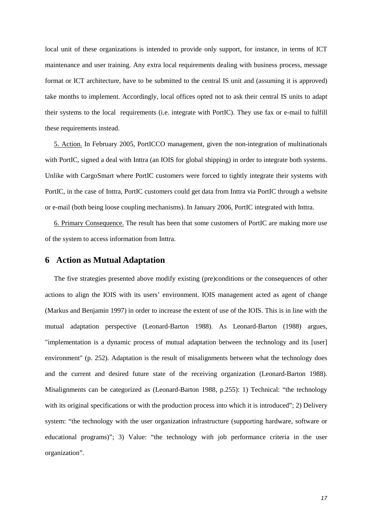local unit of these organizations is intended to provide only support, for instance, in terms of ICT maintenance and user training. Any extra local requirements dealing with business process, message format or ICT architecture, have to be submitted to the central IS unit and (assuming it is approved) take months to implement. Accordingly, local offices opted not to ask their central IS units to adapt their systems to the local requirements (i.e. integrate with PortIC). They use fax or e-mail to fulfill these requirements instead.

5. Action. In February 2005, PortICCO management, given the non-integration of multinationals with PortIC, signed a deal with Inttra (an IOIS for global shipping) in order to integrate both systems. Unlike with CargoSmart where PortIC customers were forced to tightly integrate their systems with PortIC, in the case of Inttra, PortIC customers could get data from Inttra via PortIC through a website or e-mail (both being loose coupling mechanisms). In January 2006, PortIC integrated with Inttra.

6. Primary Consequence. The result has been that some customers of PortIC are making more use of the system to access information from Inttra.

#### **6 Action as Mutual Adaptation**

The five strategies presented above modify existing (pre)conditions or the consequences of other actions to align the IOIS with its users' environment. IOIS management acted as agent of change (Markus and Benjamin 1997) in order to increase the extent of use of the IOIS. This is in line with the mutual adaptation perspective (Leonard-Barton 1988). As Leonard-Barton (1988) argues, "implementation is a dynamic process of mutual adaptation between the technology and its [user] environment" (p. 252). Adaptation is the result of misalignments between what the technology does and the current and desired future state of the receiving organization (Leonard-Barton 1988). Misalignments can be categorized as (Leonard-Barton 1988, p.255): 1) Technical: "the technology with its original specifications or with the production process into which it is introduced"; 2) Delivery system: "the technology with the user organization infrastructure (supporting hardware, software or educational programs)"; 3) Value: "the technology with job performance criteria in the user organization".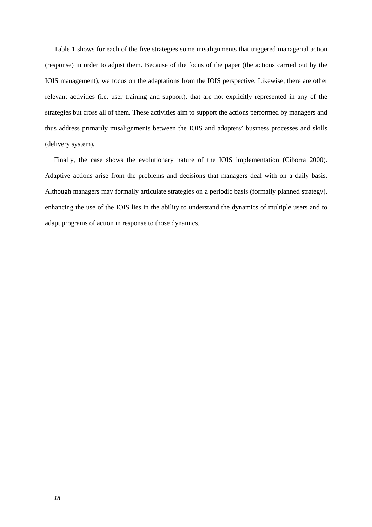Table 1 shows for each of the five strategies some misalignments that triggered managerial action (response) in order to adjust them. Because of the focus of the paper (the actions carried out by the IOIS management), we focus on the adaptations from the IOIS perspective. Likewise, there are other relevant activities (i.e. user training and support), that are not explicitly represented in any of the strategies but cross all of them. These activities aim to support the actions performed by managers and thus address primarily misalignments between the IOIS and adopters' business processes and skills (delivery system).

Finally, the case shows the evolutionary nature of the IOIS implementation (Ciborra 2000). Adaptive actions arise from the problems and decisions that managers deal with on a daily basis. Although managers may formally articulate strategies on a periodic basis (formally planned strategy), enhancing the use of the IOIS lies in the ability to understand the dynamics of multiple users and to adapt programs of action in response to those dynamics.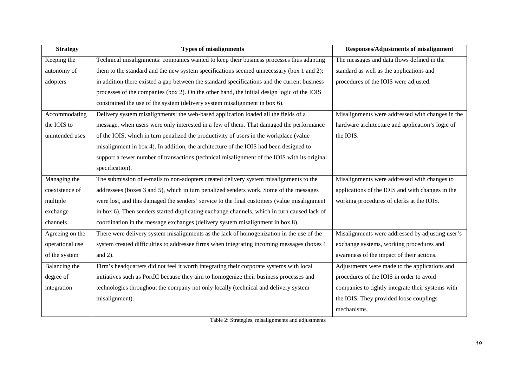| <b>Strategy</b> | <b>Types of misalignments</b>                                                                | <b>Responses/Adjustments of misalignment</b>      |
|-----------------|----------------------------------------------------------------------------------------------|---------------------------------------------------|
| Keeping the     | Technical misalignments: companies wanted to keep their business processes thus adapting     | The messages and data flows defined in the        |
| autonomy of     | them to the standard and the new system specifications seemed unnecessary (box 1 and 2);     | standard as well as the applications and          |
| adopters        | in addition there existed a gap between the standard specifications and the current business | procedures of the IOIS were adjusted.             |
|                 | processes of the companies (box 2). On the other hand, the initial design logic of the IOIS  |                                                   |
|                 | constrained the use of the system (delivery system misalignment in box 6).                   |                                                   |
| Accommodating   | Delivery system misalignments: the web-based application loaded all the fields of a          | Misalignments were addressed with changes in the  |
| the IOIS to     | message, when users were only interested in a few of them. That damaged the performance      | hardware architecture and application's logic of  |
| unintended uses | of the IOIS, which in turn penalized the productivity of users in the workplace (value       | the IOIS.                                         |
|                 | misalignment in box 4). In addition, the architecture of the IOIS had been designed to       |                                                   |
|                 | support a fewer number of transactions (technical misalignment of the IOIS with its original |                                                   |
|                 | specification).                                                                              |                                                   |
| Managing the    | The submission of e-mails to non-adopters created delivery system misalignments to the       | Misalignments were addressed with changes to      |
| coexistence of  | addressees (boxes 3 and 5), which in turn penalized senders work. Some of the messages       | applications of the IOIS and with changes in the  |
| multiple        | were lost, and this damaged the senders' service to the final customers (value misalignment  | working procedures of clerks at the IOIS.         |
| exchange        | in box 6). Then senders started duplicating exchange channels, which in turn caused lack of  |                                                   |
| channels        | coordination in the message exchanges (delivery system misalignment in box 8).               |                                                   |
| Agreeing on the | There were delivery system misalignments as the lack of homogenization in the use of the     | Misalignments were addressed by adjusting user's  |
| operational use | system created difficulties to addressee firms when integrating incoming messages (boxes 1   | exchange systems, working procedures and          |
| of the system   | and $2$ ).                                                                                   | awareness of the impact of their actions.         |
| Balancing the   | Firm's headquarters did not feel it worth integrating their corporate systems with local     | Adjustments were made to the applications and     |
| degree of       | initiatives such as PortIC because they aim to homogenize their business processes and       | procedures of the IOIS in order to avoid          |
| integration     | technologies throughout the company not only locally (technical and delivery system          | companies to tightly integrate their systems with |
|                 | misalignment).                                                                               | the IOIS. They provided loose couplings           |
|                 |                                                                                              | mechanisms.                                       |

Table 2: Strategies, misalignments and adjustments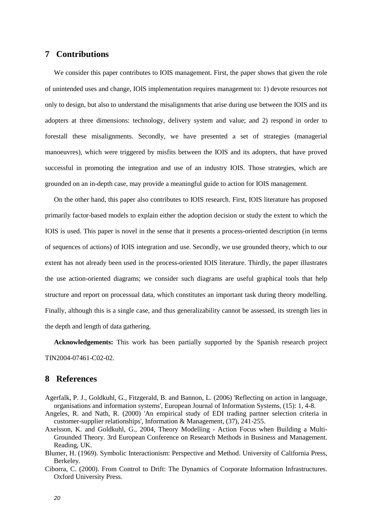#### **7 Contributions**

We consider this paper contributes to IOIS management. First, the paper shows that given the role of unintended uses and change, IOIS implementation requires management to: 1) devote resources not only to design, but also to understand the misalignments that arise during use between the IOIS and its adopters at three dimensions: technology, delivery system and value; and 2) respond in order to forestall these misalignments. Secondly, we have presented a set of strategies (managerial manoeuvres), which were triggered by misfits between the IOIS and its adopters, that have proved successful in promoting the integration and use of an industry IOIS. Those strategies, which are grounded on an in-depth case, may provide a meaningful guide to action for IOIS management.

On the other hand, this paper also contributes to IOIS research. First, IOIS literature has proposed primarily factor-based models to explain either the adoption decision or study the extent to which the IOIS is used. This paper is novel in the sense that it presents a process-oriented description (in terms of sequences of actions) of IOIS integration and use. Secondly, we use grounded theory, which to our extent has not already been used in the process-oriented IOIS literature. Thirdly, the paper illustrates the use action-oriented diagrams; we consider such diagrams are useful graphical tools that help structure and report on processual data, which constitutes an important task during theory modelling. Finally, although this is a single case, and thus generalizability cannot be assessed, its strength lies in the depth and length of data gathering.

**Acknowledgements:** This work has been partially supported by the Spanish research project TIN2004-07461-C02-02.

#### **8 References**

- Agerfalk, P. J., Goldkuhl, G., Fitzgerald, B. and Bannon, L. (2006) 'Reflecting on action in language, organisations and information systems', European Journal of Information Systems, (15): 1, 4-8.
- Angeles, R. and Nath, R. (2000) 'An empirical study of EDI trading partner selection criteria in customer-supplier relationships', Information & Management, (37), 241-255.
- Axelsson, K. and Goldkuhl, G., 2004, Theory Modelling Action Focus when Building a Multi-Grounded Theory. 3rd European Conference on Research Methods in Business and Management. Reading, UK.
- Blumer, H. (1969). Symbolic Interactionism: Perspective and Method. University of California Press, Berkeley.
- Ciborra, C. (2000). From Control to Drift: The Dynamics of Corporate Information Infrastructures. Oxford University Press.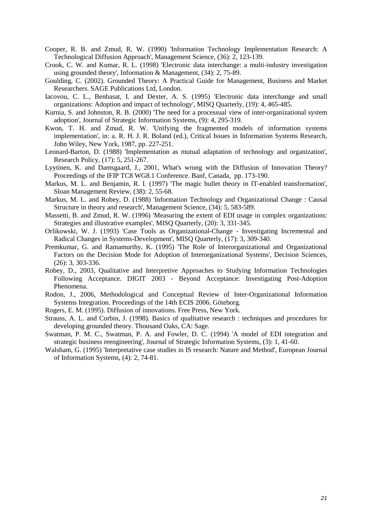- Cooper, R. B. and Zmud, R. W. (1990) 'Information Technology Implementation Research: A Technological Diffusion Approach', Management Science, (36): 2, 123-139.
- Crook, C. W. and Kumar, R. L. (1998) 'Electronic data interchange: a multi-industry investigation using grounded theory', Information & Management, (34): 2, 75-89.
- Goulding, C. (2002). Grounded Theory: A Practical Guide for Management, Business and Market Researchers. SAGE Publications Ltd, London.
- Iacovou, C. L., Benbasat, I. and Dexter, A. S. (1995) 'Electronic data interchange and small organizations: Adoption and impact of technology', MISQ Quarterly, (19): 4, 465-485.
- Kurnia, S. and Johnston, R. B. (2000) 'The need for a processual view of inter-organizational system adoption', Journal of Strategic Information Systems, (9): 4, 295-319.
- Kwon, T. H. and Zmud, R. W. 'Unifying the fragmented models of information systems implementation', in: a. R. H. J. R. Boland (ed.), Critical Issues in Information Systems Research, John Wiley, New York, 1987, pp. 227-251.
- Leonard-Barton, D. (1988) 'Implementation as mutual adaptation of technology and organization', Research Policy, (17): 5, 251-267.
- Lyytinen, K. and Damsgaard, J., 2001, What's wrong with the Diffusion of Innovation Theory? Proceedings of the IFIP TC8 WG8.1 Conference. Banf, Canada, pp. 173-190.
- Markus, M. L. and Benjamin, R. I. (1997) 'The magic bullet theory in IT-enabled transformation', Sloan Management Review, (38): 2, 55-68.
- Markus, M. L. and Robey, D. (1988) 'Information Technology and Organizational Change : Causal Structure in theory and research', Management Science, (34): 5, 583-589.
- Massetti, B. and Zmud, R. W. (1996) 'Measuring the extent of EDI usage in complex organizations: Strategies and illustrative examples', MISQ Quarterly, (20): 3, 331-345.
- Orlikowski, W. J. (1993) 'Case Tools as Organizational-Change Investigating Incremental and Radical Changes in Systems-Development', MISQ Quarterly, (17): 3, 309-340.
- Premkumar, G. and Ramamurthy, K. (1995) 'The Role of Interorganizational and Organizational Factors on the Decision Mode for Adoption of Interorganizational Systems', Decision Sciences, (26): 3, 303-336.
- Robey, D., 2003, Qualitative and Interpretive Approaches to Studying Information Technologies Following Acceptance. DIGIT 2003 - Beyond Acceptance: Investigating Post-Adoption Phenomena.
- Rodon, J., 2006, Methodological and Conceptual Review of Inter-Organizational Information Systems Integration. Proceedings of the 14th ECIS 2006. Göteborg.
- Rogers, E. M. (1995). Diffusion of innovations. Free Press, New York.
- Strauss, A. L. and Corbin, J. (1998). Basics of qualitative research : techniques and procedures for developing grounded theory. Thousand Oaks, CA: Sage.
- Swatman, P. M. C., Swatman, P. A. and Fowler, D. C. (1994) 'A model of EDI integration and strategic business reengineering', Journal of Strategic Information Systems, (3): 1, 41-60.
- Walsham, G. (1995) 'Interpretative case studies in IS research: Nature and Method', European Journal of Information Systems, (4): 2, 74-81.